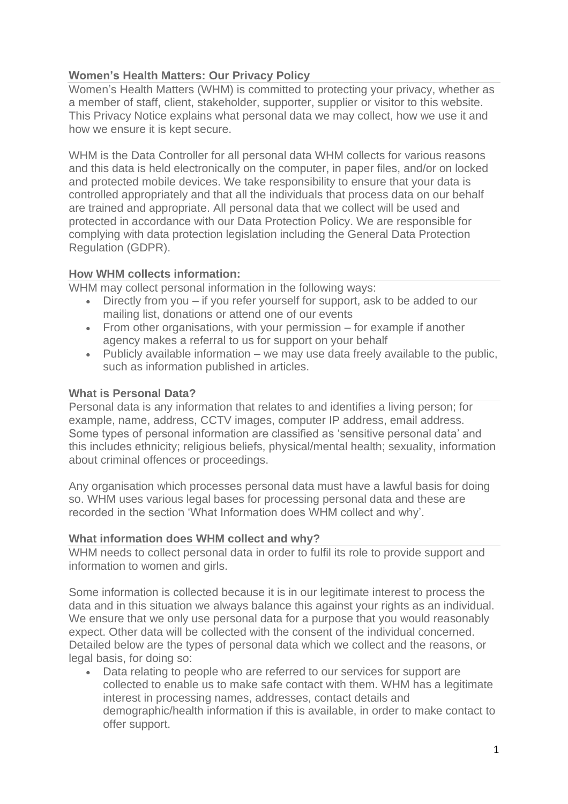# **Women's Health Matters: Our Privacy Policy**

Women's Health Matters (WHM) is committed to protecting your privacy, whether as a member of staff, client, stakeholder, supporter, supplier or visitor to this website. This Privacy Notice explains what personal data we may collect, how we use it and how we ensure it is kept secure.

WHM is the Data Controller for all personal data WHM collects for various reasons and this data is held electronically on the computer, in paper files, and/or on locked and protected mobile devices. We take responsibility to ensure that your data is controlled appropriately and that all the individuals that process data on our behalf are trained and appropriate. All personal data that we collect will be used and protected in accordance with our Data Protection Policy. We are responsible for complying with data protection legislation including the General Data Protection Regulation (GDPR).

### **How WHM collects information:**

WHM may collect personal information in the following ways:

- Directly from you if you refer yourself for support, ask to be added to our mailing list, donations or attend one of our events
- From other organisations, with your permission for example if another agency makes a referral to us for support on your behalf
- Publicly available information we may use data freely available to the public, such as information published in articles.

### **What is Personal Data?**

Personal data is any information that relates to and identifies a living person; for example, name, address, CCTV images, computer IP address, email address. Some types of personal information are classified as 'sensitive personal data' and this includes ethnicity; religious beliefs, physical/mental health; sexuality, information about criminal offences or proceedings.

Any organisation which processes personal data must have a lawful basis for doing so. WHM uses various legal bases for processing personal data and these are recorded in the section 'What Information does WHM collect and why'.

### **What information does WHM collect and why?**

WHM needs to collect personal data in order to fulfil its role to provide support and information to women and girls.

Some information is collected because it is in our legitimate interest to process the data and in this situation we always balance this against your rights as an individual. We ensure that we only use personal data for a purpose that you would reasonably expect. Other data will be collected with the consent of the individual concerned. Detailed below are the types of personal data which we collect and the reasons, or legal basis, for doing so:

• Data relating to people who are referred to our services for support are collected to enable us to make safe contact with them. WHM has a legitimate interest in processing names, addresses, contact details and demographic/health information if this is available, in order to make contact to offer support.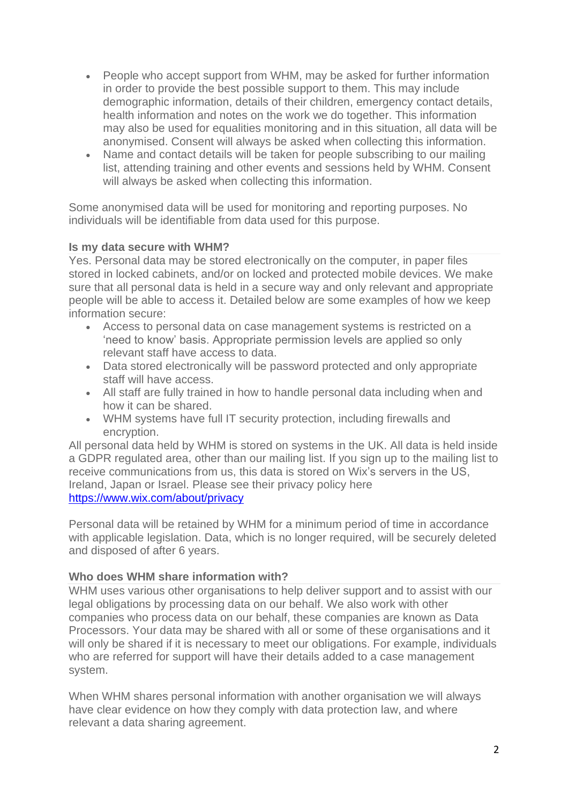- People who accept support from WHM, may be asked for further information in order to provide the best possible support to them. This may include demographic information, details of their children, emergency contact details, health information and notes on the work we do together. This information may also be used for equalities monitoring and in this situation, all data will be anonymised. Consent will always be asked when collecting this information.
- Name and contact details will be taken for people subscribing to our mailing list, attending training and other events and sessions held by WHM. Consent will always be asked when collecting this information.

Some anonymised data will be used for monitoring and reporting purposes. No individuals will be identifiable from data used for this purpose.

### **Is my data secure with WHM?**

Yes. Personal data may be stored electronically on the computer, in paper files stored in locked cabinets, and/or on locked and protected mobile devices. We make sure that all personal data is held in a secure way and only relevant and appropriate people will be able to access it. Detailed below are some examples of how we keep information secure:

- Access to personal data on case management systems is restricted on a 'need to know' basis. Appropriate permission levels are applied so only relevant staff have access to data.
- Data stored electronically will be password protected and only appropriate staff will have access.
- All staff are fully trained in how to handle personal data including when and how it can be shared.
- WHM systems have full IT security protection, including firewalls and encryption.

All personal data held by WHM is stored on systems in the UK. All data is held inside a GDPR regulated area, other than our mailing list. If you sign up to the mailing list to receive communications from us, this data is stored on Wix's servers in the US, Ireland, Japan or Israel. Please see their privacy policy here <https://www.wix.com/about/privacy>

Personal data will be retained by WHM for a minimum period of time in accordance with applicable legislation. Data, which is no longer required, will be securely deleted and disposed of after 6 years.

### **Who does WHM share information with?**

WHM uses various other organisations to help deliver support and to assist with our legal obligations by processing data on our behalf. We also work with other companies who process data on our behalf, these companies are known as Data Processors. Your data may be shared with all or some of these organisations and it will only be shared if it is necessary to meet our obligations. For example, individuals who are referred for support will have their details added to a case management system.

When WHM shares personal information with another organisation we will always have clear evidence on how they comply with data protection law, and where relevant a data sharing agreement.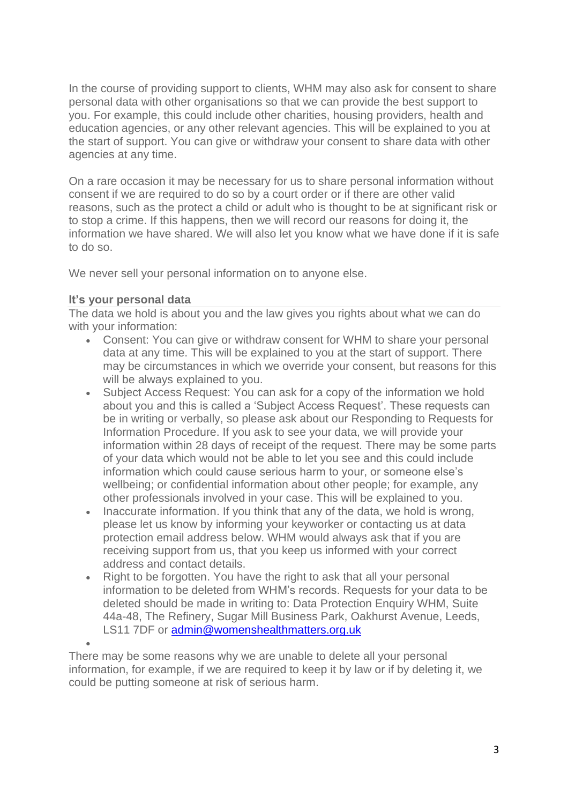In the course of providing support to clients, WHM may also ask for consent to share personal data with other organisations so that we can provide the best support to you. For example, this could include other charities, housing providers, health and education agencies, or any other relevant agencies. This will be explained to you at the start of support. You can give or withdraw your consent to share data with other agencies at any time.

On a rare occasion it may be necessary for us to share personal information without consent if we are required to do so by a court order or if there are other valid reasons, such as the protect a child or adult who is thought to be at significant risk or to stop a crime. If this happens, then we will record our reasons for doing it, the information we have shared. We will also let you know what we have done if it is safe to do so.

We never sell your personal information on to anyone else.

## **It's your personal data**

The data we hold is about you and the law gives you rights about what we can do with your information:

- Consent: You can give or withdraw consent for WHM to share your personal data at any time. This will be explained to you at the start of support. There may be circumstances in which we override your consent, but reasons for this will be always explained to you.
- Subject Access Request: You can ask for a copy of the information we hold about you and this is called a 'Subject Access Request'. These requests can be in writing or verbally, so please ask about our Responding to Requests for Information Procedure. If you ask to see your data, we will provide your information within 28 days of receipt of the request. There may be some parts of your data which would not be able to let you see and this could include information which could cause serious harm to your, or someone else's wellbeing; or confidential information about other people; for example, any other professionals involved in your case. This will be explained to you.
- Inaccurate information. If you think that any of the data, we hold is wrong, please let us know by informing your keyworker or contacting us at data protection email address below. WHM would always ask that if you are receiving support from us, that you keep us informed with your correct address and contact details.
- Right to be forgotten. You have the right to ask that all your personal information to be deleted from WHM's records. Requests for your data to be deleted should be made in writing to: Data Protection Enquiry WHM, Suite 44a-48, The Refinery, Sugar Mill Business Park, Oakhurst Avenue, Leeds, LS11 7DF or [admin@womenshealthmatters.org.uk](mailto:admin@womenshealthmatters.org.uk)

• There may be some reasons why we are unable to delete all your personal information, for example, if we are required to keep it by law or if by deleting it, we could be putting someone at risk of serious harm.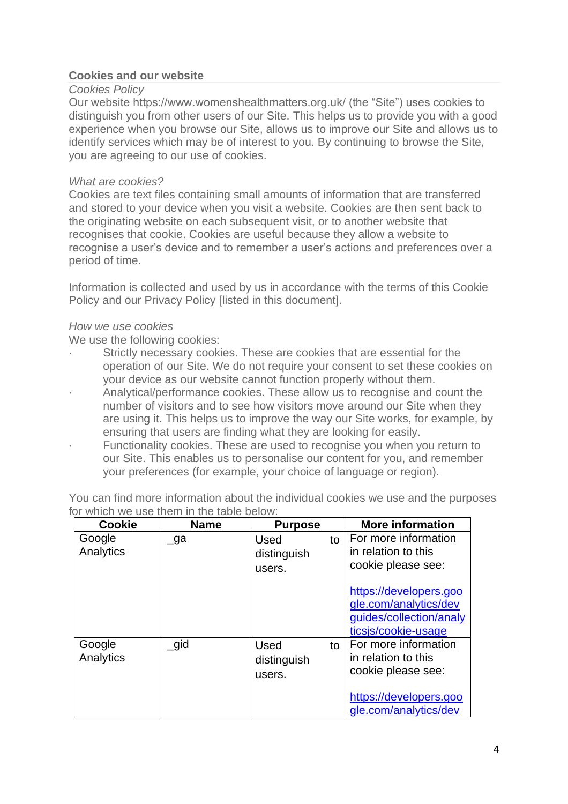### **Cookies and our website**

#### *Cookies Policy*

Our website https://www.womenshealthmatters.org.uk/ (the "Site") uses cookies to distinguish you from other users of our Site. This helps us to provide you with a good experience when you browse our Site, allows us to improve our Site and allows us to identify services which may be of interest to you. By continuing to browse the Site, you are agreeing to our use of cookies.

### *What are cookies?*

Cookies are text files containing small amounts of information that are transferred and stored to your device when you visit a website. Cookies are then sent back to the originating website on each subsequent visit, or to another website that recognises that cookie. Cookies are useful because they allow a website to recognise a user's device and to remember a user's actions and preferences over a period of time.

Information is collected and used by us in accordance with the terms of this Cookie Policy and our Privacy Policy [listed in this document].

#### *How we use cookies*

We use the following cookies:

- · Strictly necessary cookies. These are cookies that are essential for the operation of our Site. We do not require your consent to set these cookies on your device as our website cannot function properly without them.
- · Analytical/performance cookies. These allow us to recognise and count the number of visitors and to see how visitors move around our Site when they are using it. This helps us to improve the way our Site works, for example, by ensuring that users are finding what they are looking for easily.
- Functionality cookies. These are used to recognise you when you return to our Site. This enables us to personalise our content for you, and remember your preferences (for example, your choice of language or region).

You can find more information about the individual cookies we use and the purposes for which we use them in the table below:

| <b>Cookie</b>       | <b>Name</b> | <b>Purpose</b>                       |    | <b>More information</b>                                                                           |
|---------------------|-------------|--------------------------------------|----|---------------------------------------------------------------------------------------------------|
| Google<br>Analytics | $\Box$ ga   | Used<br>distinguish<br>users.        | to | For more information<br>in relation to this<br>cookie please see:                                 |
|                     |             |                                      |    | https://developers.goo<br>gle.com/analytics/dev<br>guides/collection/analy<br>ticsjs/cookie-usage |
| Google<br>Analytics | $\_$ gid    | <b>Used</b><br>distinguish<br>users. | to | For more information<br>in relation to this<br>cookie please see:                                 |
|                     |             |                                      |    | https://developers.goo<br>gle.com/analytics/dev                                                   |